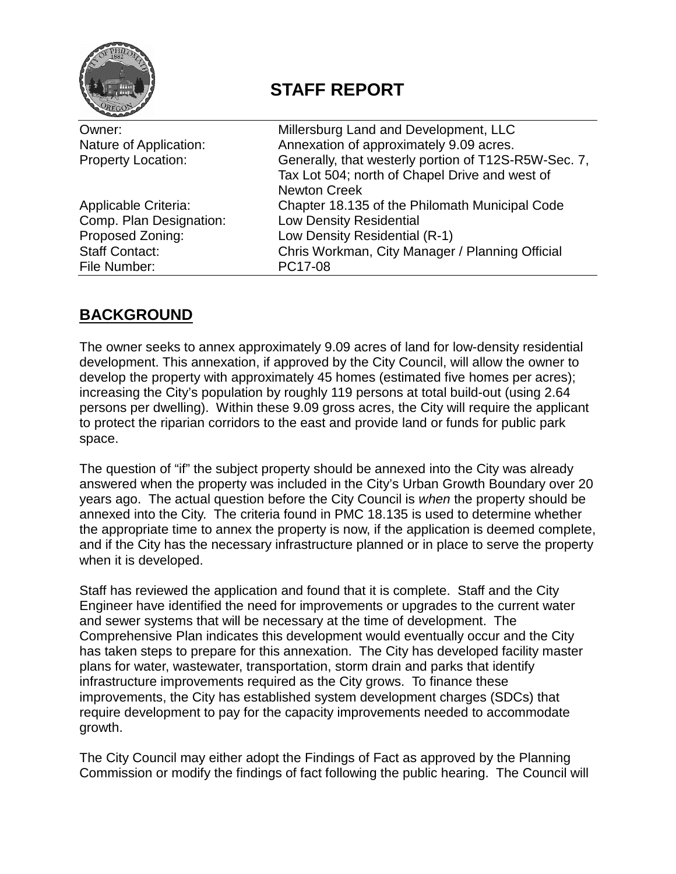

# **STAFF REPORT**

| Owner:                    | Millersburg Land and Development, LLC                |  |
|---------------------------|------------------------------------------------------|--|
| Nature of Application:    | Annexation of approximately 9.09 acres.              |  |
| <b>Property Location:</b> | Generally, that westerly portion of T12S-R5W-Sec. 7, |  |
|                           | Tax Lot 504; north of Chapel Drive and west of       |  |
|                           | <b>Newton Creek</b>                                  |  |
| Applicable Criteria:      | Chapter 18.135 of the Philomath Municipal Code       |  |
| Comp. Plan Designation:   | <b>Low Density Residential</b>                       |  |
| Proposed Zoning:          | Low Density Residential (R-1)                        |  |
| <b>Staff Contact:</b>     | Chris Workman, City Manager / Planning Official      |  |
| File Number:              | PC17-08                                              |  |
|                           |                                                      |  |

## **BACKGROUND**

The owner seeks to annex approximately 9.09 acres of land for low-density residential development. This annexation, if approved by the City Council, will allow the owner to develop the property with approximately 45 homes (estimated five homes per acres); increasing the City's population by roughly 119 persons at total build-out (using 2.64 persons per dwelling). Within these 9.09 gross acres, the City will require the applicant to protect the riparian corridors to the east and provide land or funds for public park space.

The question of "if" the subject property should be annexed into the City was already answered when the property was included in the City's Urban Growth Boundary over 20 years ago. The actual question before the City Council is *when* the property should be annexed into the City. The criteria found in PMC 18.135 is used to determine whether the appropriate time to annex the property is now, if the application is deemed complete, and if the City has the necessary infrastructure planned or in place to serve the property when it is developed.

Staff has reviewed the application and found that it is complete. Staff and the City Engineer have identified the need for improvements or upgrades to the current water and sewer systems that will be necessary at the time of development. The Comprehensive Plan indicates this development would eventually occur and the City has taken steps to prepare for this annexation. The City has developed facility master plans for water, wastewater, transportation, storm drain and parks that identify infrastructure improvements required as the City grows. To finance these improvements, the City has established system development charges (SDCs) that require development to pay for the capacity improvements needed to accommodate growth.

The City Council may either adopt the Findings of Fact as approved by the Planning Commission or modify the findings of fact following the public hearing. The Council will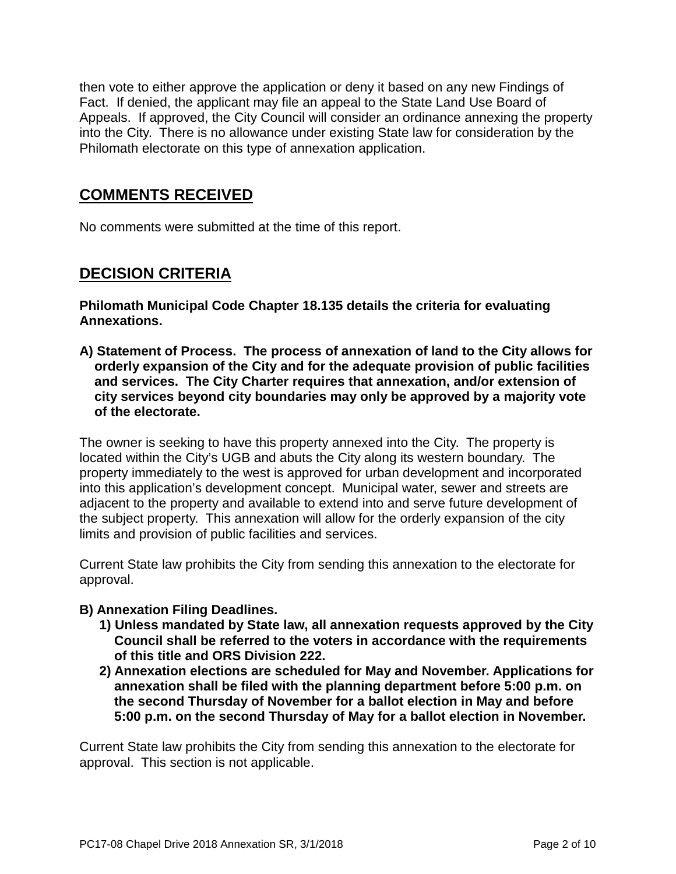then vote to either approve the application or deny it based on any new Findings of Fact. If denied, the applicant may file an appeal to the State Land Use Board of Appeals. If approved, the City Council will consider an ordinance annexing the property into the City. There is no allowance under existing State law for consideration by the Philomath electorate on this type of annexation application.

### **COMMENTS RECEIVED**

No comments were submitted at the time of this report.

### **DECISION CRITERIA**

**Philomath Municipal Code Chapter 18.135 details the criteria for evaluating Annexations.**

**A) Statement of Process. The process of annexation of land to the City allows for orderly expansion of the City and for the adequate provision of public facilities and services. The City Charter requires that annexation, and/or extension of city services beyond city boundaries may only be approved by a majority vote of the electorate.**

The owner is seeking to have this property annexed into the City. The property is located within the City's UGB and abuts the City along its western boundary. The property immediately to the west is approved for urban development and incorporated into this application's development concept. Municipal water, sewer and streets are adjacent to the property and available to extend into and serve future development of the subject property. This annexation will allow for the orderly expansion of the city limits and provision of public facilities and services.

Current State law prohibits the City from sending this annexation to the electorate for approval.

#### **B) Annexation Filing Deadlines.**

- **1) Unless mandated by State law, all annexation requests approved by the City Council shall be referred to the voters in accordance with the requirements of this title and ORS Division 222.**
- **2) Annexation elections are scheduled for May and November. Applications for annexation shall be filed with the planning department before 5:00 p.m. on the second Thursday of November for a ballot election in May and before 5:00 p.m. on the second Thursday of May for a ballot election in November.**

Current State law prohibits the City from sending this annexation to the electorate for approval. This section is not applicable.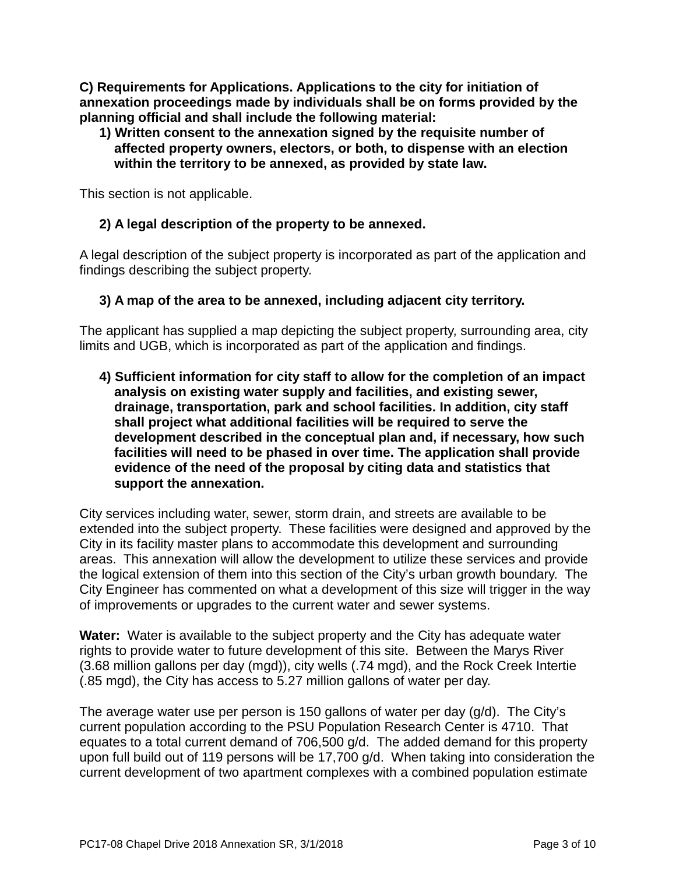**C) Requirements for Applications. Applications to the city for initiation of annexation proceedings made by individuals shall be on forms provided by the planning official and shall include the following material:**

#### **1) Written consent to the annexation signed by the requisite number of affected property owners, electors, or both, to dispense with an election within the territory to be annexed, as provided by state law.**

This section is not applicable.

#### **2) A legal description of the property to be annexed.**

A legal description of the subject property is incorporated as part of the application and findings describing the subject property.

#### **3) A map of the area to be annexed, including adjacent city territory.**

The applicant has supplied a map depicting the subject property, surrounding area, city limits and UGB, which is incorporated as part of the application and findings.

**4) Sufficient information for city staff to allow for the completion of an impact analysis on existing water supply and facilities, and existing sewer, drainage, transportation, park and school facilities. In addition, city staff shall project what additional facilities will be required to serve the development described in the conceptual plan and, if necessary, how such facilities will need to be phased in over time. The application shall provide evidence of the need of the proposal by citing data and statistics that support the annexation.**

City services including water, sewer, storm drain, and streets are available to be extended into the subject property. These facilities were designed and approved by the City in its facility master plans to accommodate this development and surrounding areas. This annexation will allow the development to utilize these services and provide the logical extension of them into this section of the City's urban growth boundary. The City Engineer has commented on what a development of this size will trigger in the way of improvements or upgrades to the current water and sewer systems.

**Water:** Water is available to the subject property and the City has adequate water rights to provide water to future development of this site. Between the Marys River (3.68 million gallons per day (mgd)), city wells (.74 mgd), and the Rock Creek Intertie (.85 mgd), the City has access to 5.27 million gallons of water per day.

The average water use per person is 150 gallons of water per day (g/d). The City's current population according to the PSU Population Research Center is 4710. That equates to a total current demand of 706,500 g/d. The added demand for this property upon full build out of 119 persons will be 17,700 g/d. When taking into consideration the current development of two apartment complexes with a combined population estimate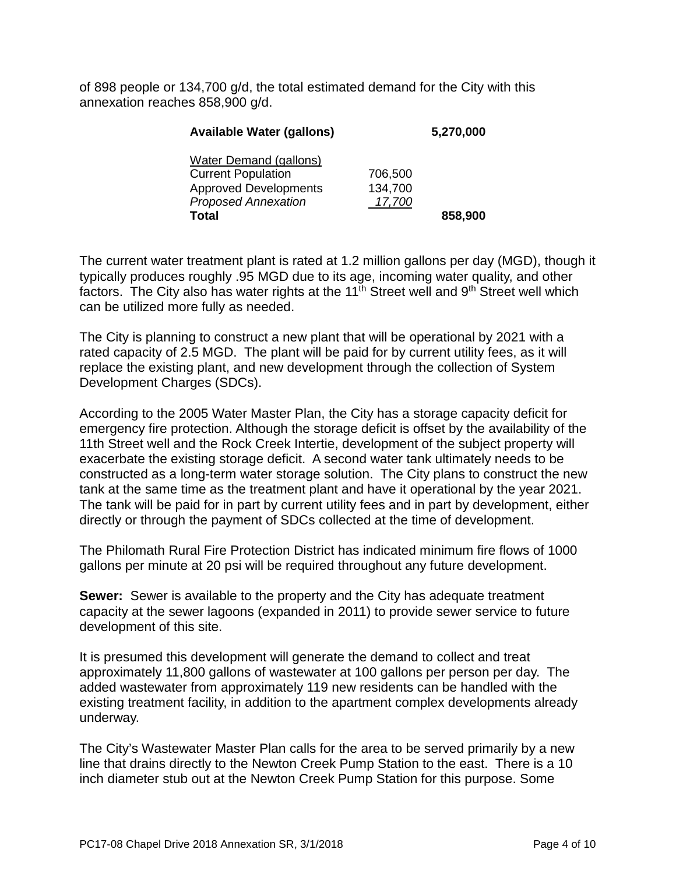of 898 people or 134,700 g/d, the total estimated demand for the City with this annexation reaches 858,900 g/d.

| <b>Available Water (gallons)</b> | 5,270,000 |         |
|----------------------------------|-----------|---------|
| Water Demand (gallons)           |           |         |
| <b>Current Population</b>        | 706,500   |         |
| <b>Approved Developments</b>     | 134,700   |         |
| <b>Proposed Annexation</b>       | 17,700    |         |
| Total                            |           | 858,900 |

The current water treatment plant is rated at 1.2 million gallons per day (MGD), though it typically produces roughly .95 MGD due to its age, incoming water quality, and other factors. The City also has water rights at the  $11<sup>th</sup>$  Street well and 9<sup>th</sup> Street well which can be utilized more fully as needed.

The City is planning to construct a new plant that will be operational by 2021 with a rated capacity of 2.5 MGD. The plant will be paid for by current utility fees, as it will replace the existing plant, and new development through the collection of System Development Charges (SDCs).

According to the 2005 Water Master Plan, the City has a storage capacity deficit for emergency fire protection. Although the storage deficit is offset by the availability of the 11th Street well and the Rock Creek Intertie, development of the subject property will exacerbate the existing storage deficit. A second water tank ultimately needs to be constructed as a long-term water storage solution. The City plans to construct the new tank at the same time as the treatment plant and have it operational by the year 2021. The tank will be paid for in part by current utility fees and in part by development, either directly or through the payment of SDCs collected at the time of development.

The Philomath Rural Fire Protection District has indicated minimum fire flows of 1000 gallons per minute at 20 psi will be required throughout any future development.

**Sewer:** Sewer is available to the property and the City has adequate treatment capacity at the sewer lagoons (expanded in 2011) to provide sewer service to future development of this site.

It is presumed this development will generate the demand to collect and treat approximately 11,800 gallons of wastewater at 100 gallons per person per day. The added wastewater from approximately 119 new residents can be handled with the existing treatment facility, in addition to the apartment complex developments already underway.

The City's Wastewater Master Plan calls for the area to be served primarily by a new line that drains directly to the Newton Creek Pump Station to the east. There is a 10 inch diameter stub out at the Newton Creek Pump Station for this purpose. Some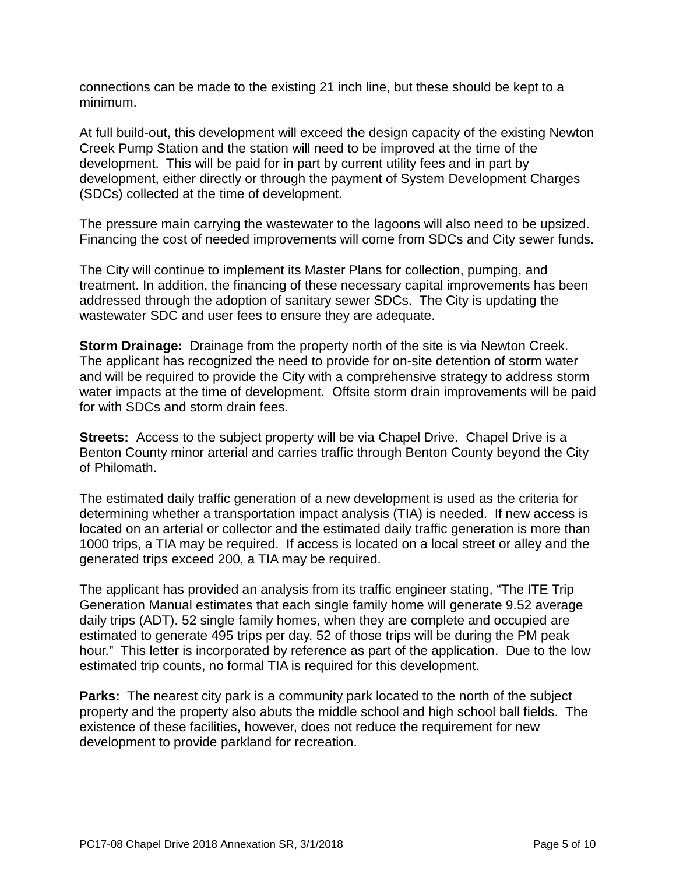connections can be made to the existing 21 inch line, but these should be kept to a minimum.

At full build-out, this development will exceed the design capacity of the existing Newton Creek Pump Station and the station will need to be improved at the time of the development. This will be paid for in part by current utility fees and in part by development, either directly or through the payment of System Development Charges (SDCs) collected at the time of development.

The pressure main carrying the wastewater to the lagoons will also need to be upsized. Financing the cost of needed improvements will come from SDCs and City sewer funds.

The City will continue to implement its Master Plans for collection, pumping, and treatment. In addition, the financing of these necessary capital improvements has been addressed through the adoption of sanitary sewer SDCs. The City is updating the wastewater SDC and user fees to ensure they are adequate.

**Storm Drainage:** Drainage from the property north of the site is via Newton Creek. The applicant has recognized the need to provide for on-site detention of storm water and will be required to provide the City with a comprehensive strategy to address storm water impacts at the time of development. Offsite storm drain improvements will be paid for with SDCs and storm drain fees.

**Streets:** Access to the subject property will be via Chapel Drive. Chapel Drive is a Benton County minor arterial and carries traffic through Benton County beyond the City of Philomath.

The estimated daily traffic generation of a new development is used as the criteria for determining whether a transportation impact analysis (TIA) is needed. If new access is located on an arterial or collector and the estimated daily traffic generation is more than 1000 trips, a TIA may be required. If access is located on a local street or alley and the generated trips exceed 200, a TIA may be required.

The applicant has provided an analysis from its traffic engineer stating, "The ITE Trip Generation Manual estimates that each single family home will generate 9.52 average daily trips (ADT). 52 single family homes, when they are complete and occupied are estimated to generate 495 trips per day. 52 of those trips will be during the PM peak hour." This letter is incorporated by reference as part of the application. Due to the low estimated trip counts, no formal TIA is required for this development.

**Parks:** The nearest city park is a community park located to the north of the subject property and the property also abuts the middle school and high school ball fields. The existence of these facilities, however, does not reduce the requirement for new development to provide parkland for recreation.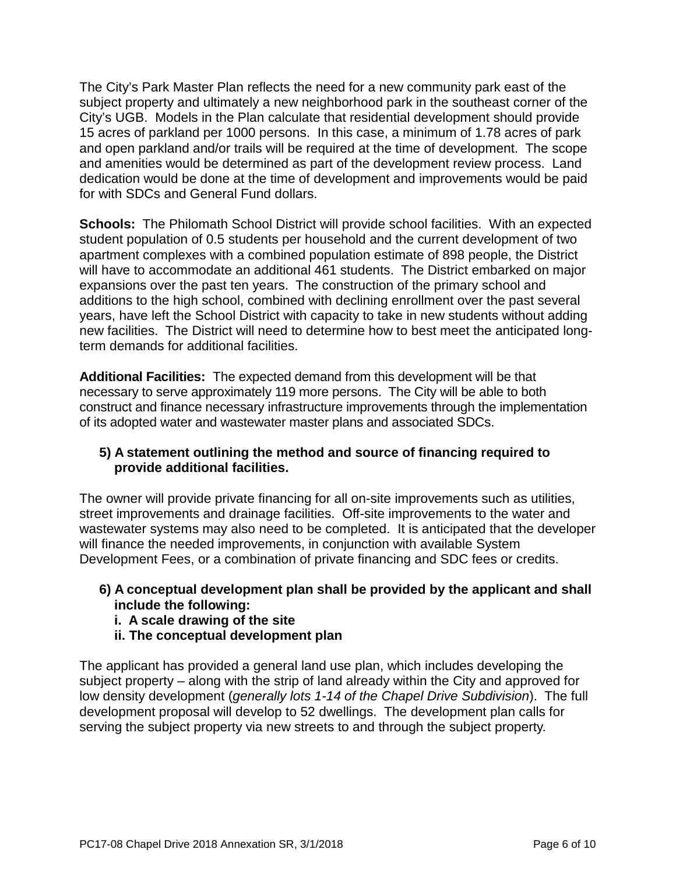The City's Park Master Plan reflects the need for a new community park east of the subject property and ultimately a new neighborhood park in the southeast corner of the City's UGB. Models in the Plan calculate that residential development should provide 15 acres of parkland per 1000 persons. In this case, a minimum of 1.78 acres of park and open parkland and/or trails will be required at the time of development. The scope and amenities would be determined as part of the development review process. Land dedication would be done at the time of development and improvements would be paid for with SDCs and General Fund dollars.

**Schools:** The Philomath School District will provide school facilities. With an expected student population of 0.5 students per household and the current development of two apartment complexes with a combined population estimate of 898 people, the District will have to accommodate an additional 461 students. The District embarked on major expansions over the past ten years. The construction of the primary school and additions to the high school, combined with declining enrollment over the past several years, have left the School District with capacity to take in new students without adding new facilities. The District will need to determine how to best meet the anticipated longterm demands for additional facilities.

**Additional Facilities:** The expected demand from this development will be that necessary to serve approximately 119 more persons. The City will be able to both construct and finance necessary infrastructure improvements through the implementation of its adopted water and wastewater master plans and associated SDCs.

#### **5) A statement outlining the method and source of financing required to provide additional facilities.**

The owner will provide private financing for all on-site improvements such as utilities, street improvements and drainage facilities. Off-site improvements to the water and wastewater systems may also need to be completed. It is anticipated that the developer will finance the needed improvements, in conjunction with available System Development Fees, or a combination of private financing and SDC fees or credits.

#### **6) A conceptual development plan shall be provided by the applicant and shall include the following:**

- **i. A scale drawing of the site**
- **ii. The conceptual development plan**

The applicant has provided a general land use plan, which includes developing the subject property – along with the strip of land already within the City and approved for low density development (*generally lots 1-14 of the Chapel Drive Subdivision*). The full development proposal will develop to 52 dwellings. The development plan calls for serving the subject property via new streets to and through the subject property.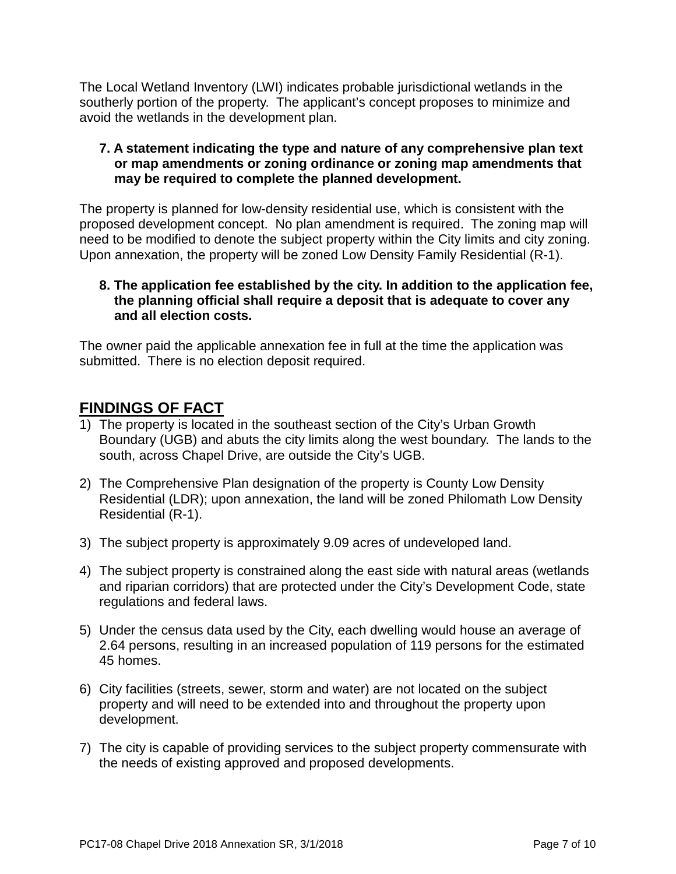The Local Wetland Inventory (LWI) indicates probable jurisdictional wetlands in the southerly portion of the property. The applicant's concept proposes to minimize and avoid the wetlands in the development plan.

#### **7. A statement indicating the type and nature of any comprehensive plan text or map amendments or zoning ordinance or zoning map amendments that may be required to complete the planned development.**

The property is planned for low-density residential use, which is consistent with the proposed development concept. No plan amendment is required. The zoning map will need to be modified to denote the subject property within the City limits and city zoning. Upon annexation, the property will be zoned Low Density Family Residential (R-1).

#### **8. The application fee established by the city. In addition to the application fee, the planning official shall require a deposit that is adequate to cover any and all election costs.**

The owner paid the applicable annexation fee in full at the time the application was submitted. There is no election deposit required.

### **FINDINGS OF FACT**

- 1) The property is located in the southeast section of the City's Urban Growth Boundary (UGB) and abuts the city limits along the west boundary. The lands to the south, across Chapel Drive, are outside the City's UGB.
- 2) The Comprehensive Plan designation of the property is County Low Density Residential (LDR); upon annexation, the land will be zoned Philomath Low Density Residential (R-1).
- 3) The subject property is approximately 9.09 acres of undeveloped land.
- 4) The subject property is constrained along the east side with natural areas (wetlands and riparian corridors) that are protected under the City's Development Code, state regulations and federal laws.
- 5) Under the census data used by the City, each dwelling would house an average of 2.64 persons, resulting in an increased population of 119 persons for the estimated 45 homes.
- 6) City facilities (streets, sewer, storm and water) are not located on the subject property and will need to be extended into and throughout the property upon development.
- 7) The city is capable of providing services to the subject property commensurate with the needs of existing approved and proposed developments.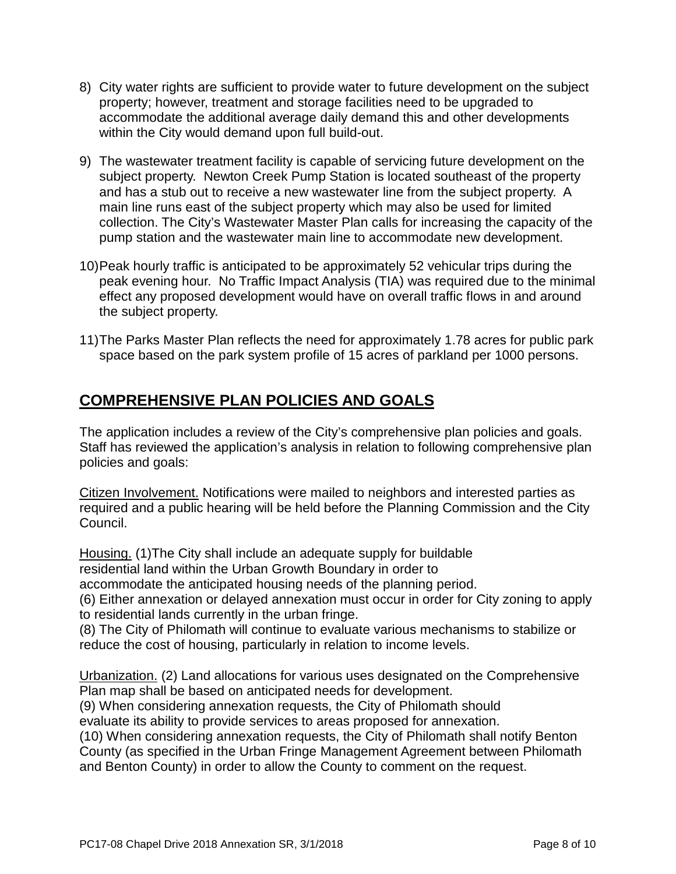- 8) City water rights are sufficient to provide water to future development on the subject property; however, treatment and storage facilities need to be upgraded to accommodate the additional average daily demand this and other developments within the City would demand upon full build-out.
- 9) The wastewater treatment facility is capable of servicing future development on the subject property. Newton Creek Pump Station is located southeast of the property and has a stub out to receive a new wastewater line from the subject property. A main line runs east of the subject property which may also be used for limited collection. The City's Wastewater Master Plan calls for increasing the capacity of the pump station and the wastewater main line to accommodate new development.
- 10)Peak hourly traffic is anticipated to be approximately 52 vehicular trips during the peak evening hour. No Traffic Impact Analysis (TIA) was required due to the minimal effect any proposed development would have on overall traffic flows in and around the subject property.
- 11)The Parks Master Plan reflects the need for approximately 1.78 acres for public park space based on the park system profile of 15 acres of parkland per 1000 persons.

### **COMPREHENSIVE PLAN POLICIES AND GOALS**

The application includes a review of the City's comprehensive plan policies and goals. Staff has reviewed the application's analysis in relation to following comprehensive plan policies and goals:

Citizen Involvement. Notifications were mailed to neighbors and interested parties as required and a public hearing will be held before the Planning Commission and the City Council.

Housing. (1)The City shall include an adequate supply for buildable residential land within the Urban Growth Boundary in order to accommodate the anticipated housing needs of the planning period. (6) Either annexation or delayed annexation must occur in order for City zoning to apply to residential lands currently in the urban fringe.

(8) The City of Philomath will continue to evaluate various mechanisms to stabilize or reduce the cost of housing, particularly in relation to income levels.

Urbanization. (2) Land allocations for various uses designated on the Comprehensive Plan map shall be based on anticipated needs for development.

(9) When considering annexation requests, the City of Philomath should

evaluate its ability to provide services to areas proposed for annexation.

(10) When considering annexation requests, the City of Philomath shall notify Benton County (as specified in the Urban Fringe Management Agreement between Philomath and Benton County) in order to allow the County to comment on the request.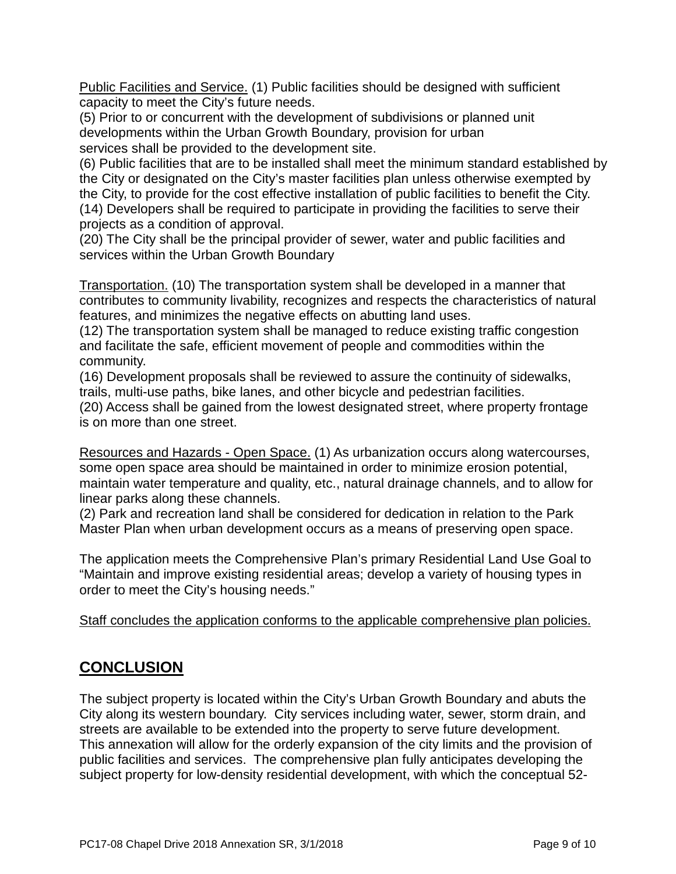Public Facilities and Service. (1) Public facilities should be designed with sufficient capacity to meet the City's future needs.

(5) Prior to or concurrent with the development of subdivisions or planned unit developments within the Urban Growth Boundary, provision for urban services shall be provided to the development site.

(6) Public facilities that are to be installed shall meet the minimum standard established by the City or designated on the City's master facilities plan unless otherwise exempted by the City, to provide for the cost effective installation of public facilities to benefit the City. (14) Developers shall be required to participate in providing the facilities to serve their projects as a condition of approval.

(20) The City shall be the principal provider of sewer, water and public facilities and services within the Urban Growth Boundary

Transportation. (10) The transportation system shall be developed in a manner that contributes to community livability, recognizes and respects the characteristics of natural features, and minimizes the negative effects on abutting land uses.

(12) The transportation system shall be managed to reduce existing traffic congestion and facilitate the safe, efficient movement of people and commodities within the community.

(16) Development proposals shall be reviewed to assure the continuity of sidewalks, trails, multi-use paths, bike lanes, and other bicycle and pedestrian facilities.

(20) Access shall be gained from the lowest designated street, where property frontage is on more than one street.

Resources and Hazards - Open Space. (1) As urbanization occurs along watercourses, some open space area should be maintained in order to minimize erosion potential, maintain water temperature and quality, etc., natural drainage channels, and to allow for linear parks along these channels.

(2) Park and recreation land shall be considered for dedication in relation to the Park Master Plan when urban development occurs as a means of preserving open space.

The application meets the Comprehensive Plan's primary Residential Land Use Goal to "Maintain and improve existing residential areas; develop a variety of housing types in order to meet the City's housing needs."

Staff concludes the application conforms to the applicable comprehensive plan policies.

### **CONCLUSION**

The subject property is located within the City's Urban Growth Boundary and abuts the City along its western boundary. City services including water, sewer, storm drain, and streets are available to be extended into the property to serve future development. This annexation will allow for the orderly expansion of the city limits and the provision of public facilities and services. The comprehensive plan fully anticipates developing the subject property for low-density residential development, with which the conceptual 52-